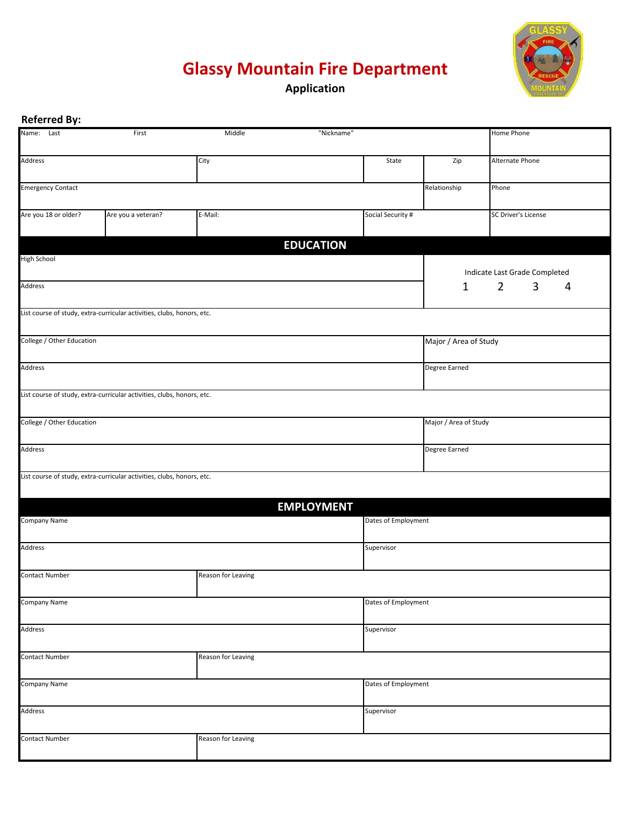## **Glassy Mountain Fire Department**



**Application**

| <b>Referred By:</b>                  |                                                                        |                    |                     |                     |                       |                               |  |
|--------------------------------------|------------------------------------------------------------------------|--------------------|---------------------|---------------------|-----------------------|-------------------------------|--|
| Name: Last                           | First                                                                  | Middle             | "Nickname"          |                     |                       | Home Phone                    |  |
| Address                              |                                                                        | City               |                     | State               | Zip                   | Alternate Phone               |  |
| <b>Emergency Contact</b>             |                                                                        |                    |                     |                     | Relationship          | Phone                         |  |
| Are you 18 or older?                 | Are you a veteran?                                                     | E-Mail:            |                     | Social Security #   |                       | SC Driver's License           |  |
|                                      |                                                                        |                    | <b>EDUCATION</b>    |                     |                       |                               |  |
| <b>High School</b>                   |                                                                        |                    |                     |                     |                       | Indicate Last Grade Completed |  |
| Address                              |                                                                        |                    |                     |                     | 1                     | $\overline{2}$<br>3<br>4      |  |
|                                      | List course of study, extra-curricular activities, clubs, honors, etc. |                    |                     |                     |                       |                               |  |
| College / Other Education            |                                                                        |                    |                     |                     | Major / Area of Study |                               |  |
| Address                              |                                                                        |                    |                     |                     | Degree Earned         |                               |  |
|                                      | List course of study, extra-curricular activities, clubs, honors, etc. |                    |                     |                     |                       |                               |  |
| College / Other Education            |                                                                        |                    |                     |                     | Major / Area of Study |                               |  |
| Address                              |                                                                        |                    |                     |                     | Degree Earned         |                               |  |
|                                      | List course of study, extra-curricular activities, clubs, honors, etc. |                    |                     |                     |                       |                               |  |
|                                      |                                                                        |                    | <b>EMPLOYMENT</b>   |                     |                       |                               |  |
| Company Name                         |                                                                        |                    | Dates of Employment |                     |                       |                               |  |
| Address                              |                                                                        |                    |                     | Supervisor          |                       |                               |  |
| <b>Contact Number</b>                |                                                                        | Reason for Leaving |                     |                     |                       |                               |  |
| Company Name                         |                                                                        |                    | Dates of Employment |                     |                       |                               |  |
| Address                              |                                                                        |                    |                     | Supervisor          |                       |                               |  |
| <b>Contact Number</b>                |                                                                        | Reason for Leaving |                     |                     |                       |                               |  |
| Company Name                         |                                                                        |                    |                     | Dates of Employment |                       |                               |  |
| Address                              |                                                                        |                    |                     | Supervisor          |                       |                               |  |
| Contact Number<br>Reason for Leaving |                                                                        |                    |                     |                     |                       |                               |  |
|                                      |                                                                        |                    |                     |                     |                       |                               |  |